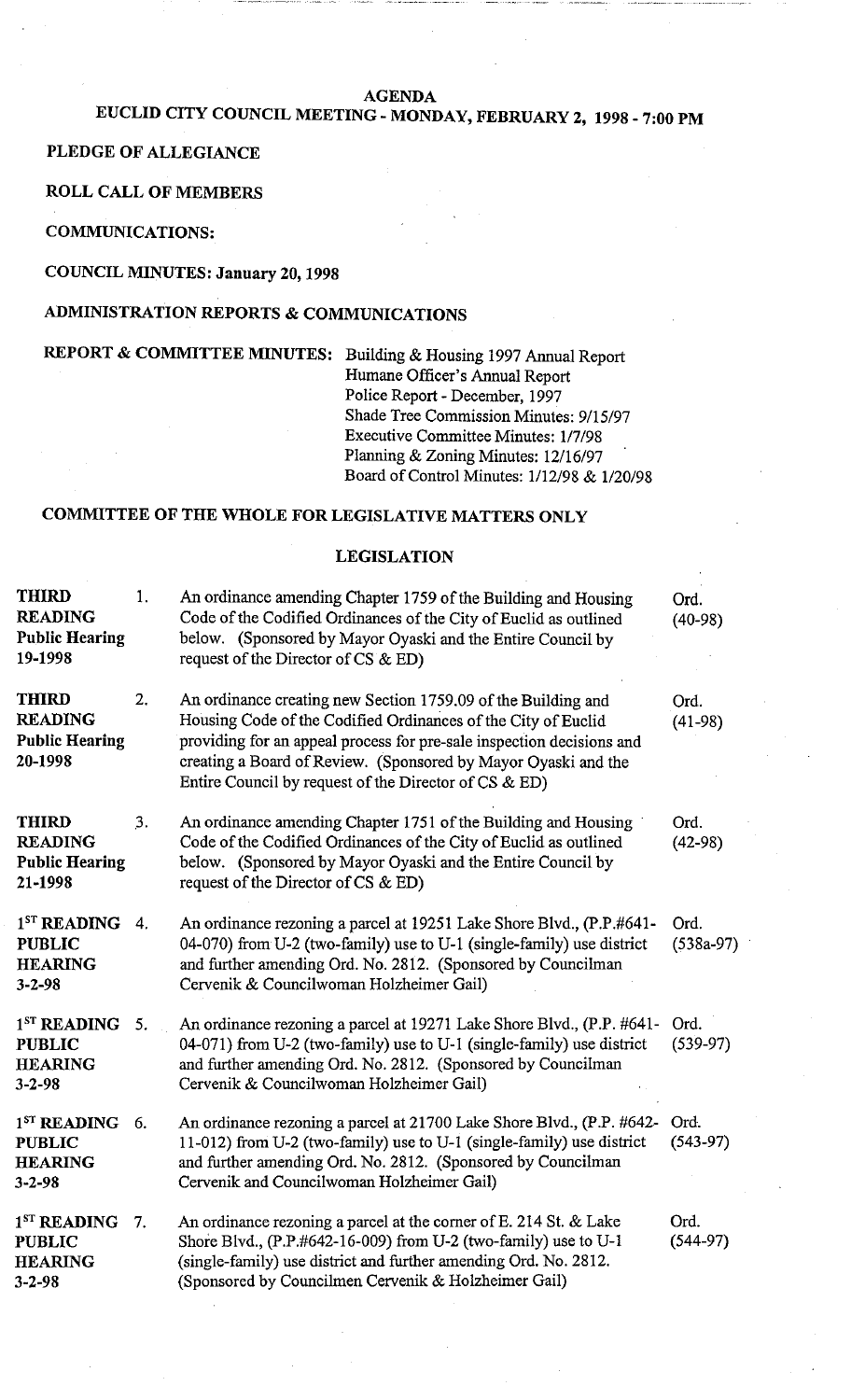#### **AGENDA**

# **EUCLID CITY COUNCIL MEETING** - **MONDAY, FEBRUARY 2, 1998** - **7:00 PM**

## **PLEDGE OF ALLEGIANCE**

#### **ROLL CALL OF MEMBERS**

**COMMUNICATIONS:** 

#### **COUNCIL MINUTES: January 20,1998**

### **ADMINISTRATION REPORTS** & **COMMUNICATIONS**

## **REPORT & COMMITTEE MINUTES:** Building & Housing 1997 Annual Report

Humane Officer's Annual Report Police Report - December, 1997 Shade Tree Commission Minutes: 9/15/97 Executive Committee Minutes: 1/7/98 Planning & Zoning Minutes: 12/16/97 Board of Control Minutes: 1/12/98 & 1/20/98

## **COMMITTEE OF THE WHOLE FOR LEGISLATIVE MATTERS ONLY**

## **THIRD** 1. An ordinance amending Chapter 1759 of the Building and Housing Ord. **READING** Code of the Codified Ordinances of the City of Euclid as outlined (40-98)<br> **Public Hearing** below. (Sponsored by Mayor Oyaski and the Entire Council by below. (Sponsored by Mayor Oyaski and the Entire Council by **19-1998** request of the Director of CS & ED) **THIRD** 2. An ordinance creating new Section 1759.09 of the Building and Ord. **READING** Housing Code of the Codified Ordinances of the City of Euclid (41-98) Public Hearing **providing for an appeal process for pre-sale inspection decisions and 20-1998** creating a Board of Review. (Sponsored by Mayor Oyaski and the Entire Council by request of the Director of CS & ED) **THIRD** 3. An ordinance amending Chapter 1751 of the Building and Housing Ord. **READING** Code of the Codified Ordinances of the City of Euclid as outlined (42-98) **Public Hearing** below. (Sponsored by Mayor Oyaski and the Entire Council by **21-1998** request of the Director of CS & ED) 1<sup>ST</sup> READING 4. An ordinance rezoning a parcel at 19251 Lake Shore Blvd., (P.P.#641- Ord. **PUBLIC** 04-070) from U-2 (two-family) use to U-1 (single-family) use district (538a-97)<br>**HEARING** and further amending Ord. No. 2812. (Sponsored by Councilman and further amending Ord. No. 2812. (Sponsored by Councilman **3-2-98** Cervenik & Councilwoman Holzheimer Gail) 1<sup>ST</sup> READING 5. An ordinance rezoning a parcel at 19271 Lake Shore Blvd., (P.P. #641- Ord.<br>**PUBLIC** 04-071) from U-2 (two-family) use to U-1 (single-family) use district (539-97) 04-071) from U-2 (two-family) use to U-1 (single-family) use district **HEARING** and further amending Ord. No. 2812. (Sponsored by Councilman **3-2-98** Cervenik & Councilwoman Holzheimer Gail)  $1<sup>ST</sup>$  READING 6. **PUBLIC HEARING 3-2-98**  An ordinance rezoning a parcel at 21700 Lake Shore Blvd., (P.P. #642- Ord.<br>11-012) from U-2 (two-family) use to U-1 (single-family) use district (543-97) 11-012) from U-2 (two-family) use to U-1 (single-family) use district and further amending Ord. No. 2812. (Sponsored by Councilman Cervenik and Councilwoman Holzheimer Gail) 1<sup>ST</sup> READING 7. An ordinance rezoning a parcel at the corner of E. 214 St. & Lake Ord.<br>**PUBLIC** Shore Blvd., (P.P.#642-16-009) from U-2 (two-family) use to U-1 (544-97) Shore Blvd., (P.P.#642-16-009) from U-2 (two-family) use to U-1 **HEARING** (single-family) use district and further amending Ord. No. 2812. **3-2-98** (Sponsored by Councilmen Cervenik & Holzheimer Gail)

**LEGISLATION**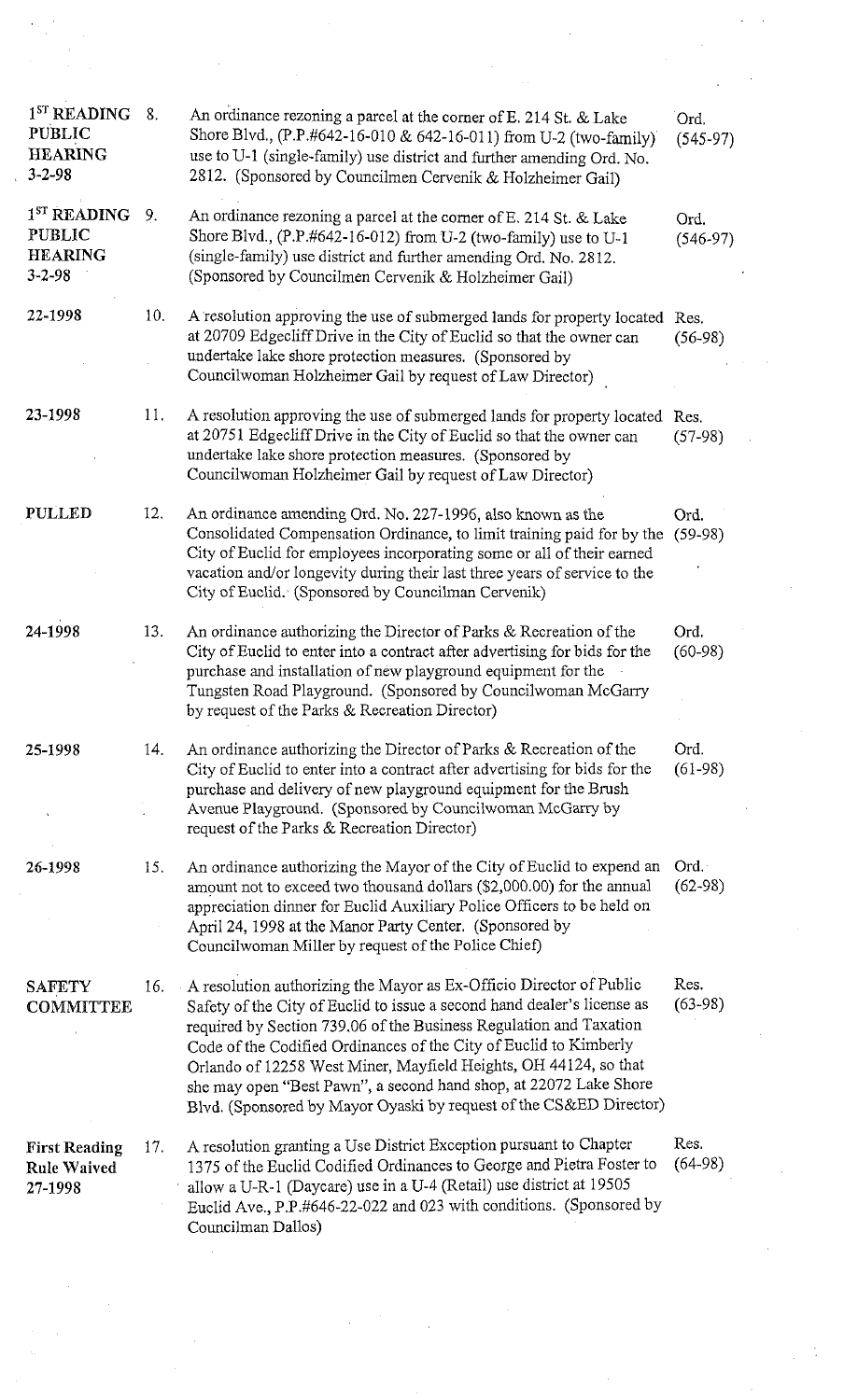| 1 <sup>ST</sup> READING<br><b>PUBLIC</b><br><b>HEARING</b><br>$3 - 2 - 98$ | 8.  | An ordinance rezoning a parcel at the corner of E. 214 St. & Lake<br>Shore Blvd., (P.P.#642-16-010 & 642-16-011) from U-2 (two-family)<br>use to U-1 (single-family) use district and further amending Ord. No.<br>2812. (Sponsored by Councilmen Cervenik & Holzheimer Gail)                                                                                                                                                                                                                            | Ord.<br>$(545-97)$ |
|----------------------------------------------------------------------------|-----|----------------------------------------------------------------------------------------------------------------------------------------------------------------------------------------------------------------------------------------------------------------------------------------------------------------------------------------------------------------------------------------------------------------------------------------------------------------------------------------------------------|--------------------|
| 1 <sup>ST</sup> READING<br><b>PUBLIC</b><br><b>HEARING</b><br>$3 - 2 - 98$ | 9.  | An ordinance rezoning a parcel at the corner of E. 214 St. & Lake<br>Shore Blvd., (P.P.#642-16-012) from U-2 (two-family) use to U-1<br>(single-family) use district and further amending Ord. No. 2812.<br>(Sponsored by Councilmen Cervenik & Holzheimer Gail)                                                                                                                                                                                                                                         | Ord.<br>$(546-97)$ |
| 22-1998                                                                    | 10. | A resolution approving the use of submerged lands for property located Res.<br>at 20709 Edgecliff Drive in the City of Euclid so that the owner can<br>undertake lake shore protection measures. (Sponsored by<br>Councilwoman Holzheimer Gail by request of Law Director)                                                                                                                                                                                                                               | $(56-98)$          |
| 23-1998                                                                    | 11. | A resolution approving the use of submerged lands for property located Res.<br>at 20751 Edgecliff Drive in the City of Euclid so that the owner can<br>undertake lake shore protection measures. (Sponsored by<br>Councilwoman Holzheimer Gail by request of Law Director)                                                                                                                                                                                                                               | $(57-98)$          |
| <b>PULLED</b>                                                              | 12. | An ordinance amending Ord. No. 227-1996, also known as the<br>Consolidated Compensation Ordinance, to limit training paid for by the<br>City of Euclid for employees incorporating some or all of their earned<br>vacation and/or longevity during their last three years of service to the<br>City of Euclid. (Sponsored by Councilman Cervenik)                                                                                                                                                        | Ord.<br>$(59-98)$  |
| 24-1998                                                                    | 13. | An ordinance authorizing the Director of Parks & Recreation of the<br>City of Euclid to enter into a contract after advertising for bids for the<br>purchase and installation of new playground equipment for the<br>Tungsten Road Playground. (Sponsored by Councilwoman McGarry<br>by request of the Parks & Recreation Director)                                                                                                                                                                      | Ord.<br>$(60-98)$  |
| 25-1998                                                                    | 14. | An ordinance authorizing the Director of Parks & Recreation of the<br>City of Euclid to enter into a contract after advertising for bids for the<br>purchase and delivery of new playground equipment for the Brush<br>Avenue Playground. (Sponsored by Councilwoman McGarry by<br>request of the Parks & Recreation Director)                                                                                                                                                                           | Ord.<br>$(61-98)$  |
| 26-1998                                                                    | 15. | An ordinance authorizing the Mayor of the City of Euclid to expend an<br>amount not to exceed two thousand dollars (\$2,000.00) for the annual<br>appreciation dinner for Euclid Auxiliary Police Officers to be held on<br>April 24, 1998 at the Manor Party Center. (Sponsored by<br>Councilwoman Miller by request of the Police Chief)                                                                                                                                                               | Ord.<br>$(62-98)$  |
| <b>SAFETY</b><br><b>COMMITTEE</b>                                          | 16. | A resolution authorizing the Mayor as Ex-Officio Director of Public<br>Safety of the City of Euclid to issue a second hand dealer's license as<br>required by Section 739.06 of the Business Regulation and Taxation<br>Code of the Codified Ordinances of the City of Euclid to Kimberly<br>Orlando of 12258 West Miner, Mayfield Heights, OH 44124, so that<br>she may open "Best Pawn", a second hand shop, at 22072 Lake Shore<br>Blvd. (Sponsored by Mayor Oyaski by request of the CS&ED Director) | Res.<br>$(63-98)$  |
| <b>First Reading</b><br><b>Rule Waived</b><br>27-1998                      | 17. | A resolution granting a Use District Exception pursuant to Chapter<br>1375 of the Euclid Codified Ordinances to George and Pietra Foster to<br>allow a U-R-1 (Daycare) use in a U-4 (Retail) use district at 19505<br>Euclid Ave., P.P.#646-22-022 and 023 with conditions. (Sponsored by<br>Councilman Dallos)                                                                                                                                                                                          | Res.<br>$(64-98)$  |